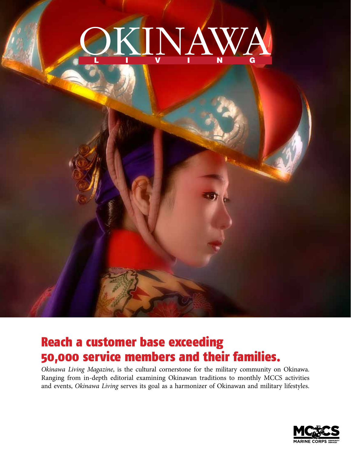

## Reach a customer base exceeding 50,000 service members and their families.

*Okinawa Living Magazine*, is the cultural cornerstone for the military community on Okinawa. Ranging from in-depth editorial examining Okinawan traditions to monthly MCCS activities and events, *Okinawa Living* serves its goal as a harmonizer of Okinawan and military lifestyles.

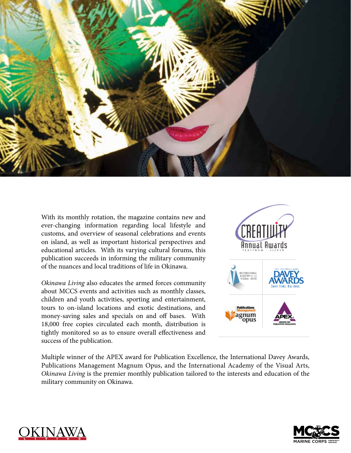

With its monthly rotation, the magazine contains new and ever-changing information regarding local lifestyle and customs, and overview of seasonal celebrations and events on island, as well as important historical perspectives and educational articles. With its varying cultural forums, this publication succeeds in informing the military community of the nuances and local traditions of life in Okinawa.

*Okinawa Living* also educates the armed forces community about MCCS events and activities such as monthly classes, children and youth activities, sporting and entertainment, tours to on-island locations and exotic destinations, and money-saving sales and specials on and off bases. With 18,000 free copies circulated each month, distribution is tightly monitored so as to ensure overall effectiveness and success of the publication.



Multiple winner of the APEX award for Publication Excellence, the International Davey Awards, Publications Management Magnum Opus, and the International Academy of the Visual Arts, *Okinawa Living* is the premier monthly publication tailored to the interests and education of the military community on Okinawa.



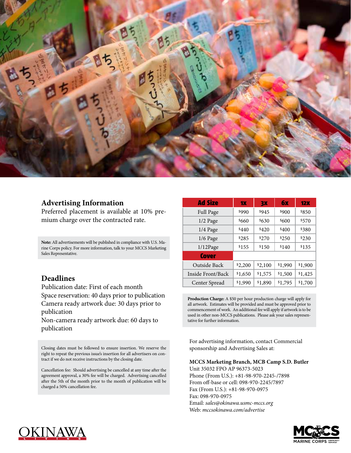

### **Advertising Information**

Preferred placement is available at 10% premium charge over the contracted rate.

**Note:** All advertisements will be published in compliance with U.S. Marine Corps policy. For more information, talk to your MCCS Marketing Sales Representative.

### **Deadlines**

Publication date: First of each month Space reservation: 40 days prior to publication Camera ready artwork due: 30 days prior to publication

Non-camera ready artwork due: 60 days to publication

Closing dates must be followed to ensure insertion. We reserve the right to repeat the previous issue's insertion for all advertisers on contract if we do not receive instructions by the closing date.

Cancellation fee: Should advertising be cancelled at any time after the agreement approval, a 30% fee will be charged. Advertising cancelled after the 5th of the month prior to the month of publication will be charged a 50% cancellation fee.

| Ad Size           | <b>1X</b> | <b>3X</b> | 6x      | 12X     |
|-------------------|-----------|-----------|---------|---------|
| Full Page         | \$990     | \$945     | \$900   | \$850   |
| 1/2 Page          | \$660     | \$630     | \$600   | \$570   |
| 1/4 Page          | \$440     | \$420     | \$400   | \$380   |
| $1/6$ Page        | \$285     | \$270     | \$250   | \$230   |
| 1/12Page          | \$155     | \$150     | \$140   | \$135   |
| <b>Cover</b>      |           |           |         |         |
| Outside Back      | \$2,200   | \$2,100   | \$1,990 | \$1,900 |
| Inside Front/Back | \$1,650   | \$1,575   | \$1,500 | \$1,425 |
| Center Spread     | \$1,990   | \$1,890   | \$1,795 | \$1,700 |

**Production Charge:** A \$50 per hour production charge will apply for all artwork. Estimates will be provided and must be approved prior to commencement of work. An additional fee will apply if artwork is to be used in other non-MCCS publications. Please ask your sales representative for further information.

For advertising information, contact Commercial sponsorship and Advertising Sales at:

**MCCS Marketing Branch, MCB Camp S.D. Butler**

Unit 35032 FPO AP 96373-5023 Phone (From U.S.): +81-98-970-2245-/7898 From off-base or cell: 098-970-2245/7897 Fax (From U.S.): +81-98-970-0975 Fax: 098-970-0975 Email: *sales@okinawa.usmc-mccs.org* Web: *mccsokinawa.com/advertise*



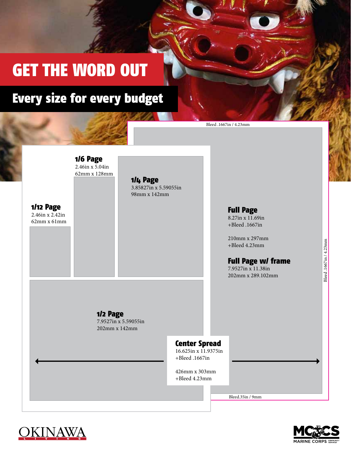# GET THE WORD OUT

# Every size for every budget

|                                                          | 1/6 Page<br>$2.46$ in x 5.04in<br>62mm x 128mm    | 1/4 Page<br>3.85827in x 5.59055in |                                                                |                                                                                                                                                                  |  |
|----------------------------------------------------------|---------------------------------------------------|-----------------------------------|----------------------------------------------------------------|------------------------------------------------------------------------------------------------------------------------------------------------------------------|--|
| <b>1/12 Page</b><br>$2.46$ in x $2.42$ in<br>62mm x 61mm |                                                   | 98mm x 142mm                      |                                                                | <b>Full Page</b><br>8.27in x 11.69in<br>+Bleed .1667in<br>210mm x 297mm<br>+Bleed 4.23mm<br><b>Full Page w/ frame</b><br>7.9527in x 11.38in<br>202mm x 289.102mm |  |
|                                                          | 1/2 Page<br>7.9527in x 5.59055in<br>202mm x 142mm |                                   | <b>Center Spread</b><br>16.625in x 11.9375in<br>+Bleed .1667in |                                                                                                                                                                  |  |
|                                                          |                                                   |                                   | 426mm x 303mm<br>+Bleed 4.23mm                                 | Bleed.35in / 9mm                                                                                                                                                 |  |